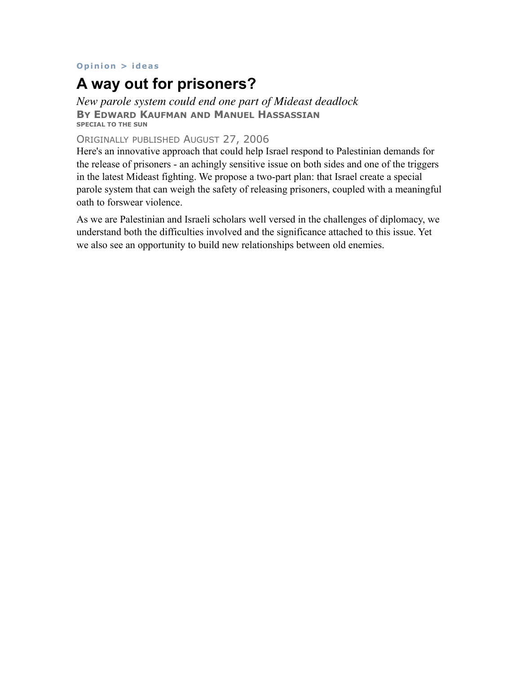## **[Opinion](http://www.baltimoresun.com/news/opinion/) > [ideas](http://www.baltimoresun.com/news/opinion/ideas)**

## **A way out for prisoners?**

*New parole system could end one part of Mideast deadlock*  **BY EDWARD KAUFMAN AND MANUEL HASSASSIAN SPECIAL TO THE SUN** 

## ORIGINALLY PUBLISHED AUGUST 27, 2006

Here's an innovative approach that could help Israel respond to Palestinian demands for the release of prisoners - an achingly sensitive issue on both sides and one of the triggers in the latest Mideast fighting. We propose a two-part plan: that Israel create a special parole system that can weigh the safety of releasing prisoners, coupled with a meaningful oath to forswear violence.

As we are Palestinian and Israeli scholars well versed in the challenges of diplomacy, we understand both the difficulties involved and the significance attached to this issue. Yet we also see an opportunity to build new relationships between old enemies.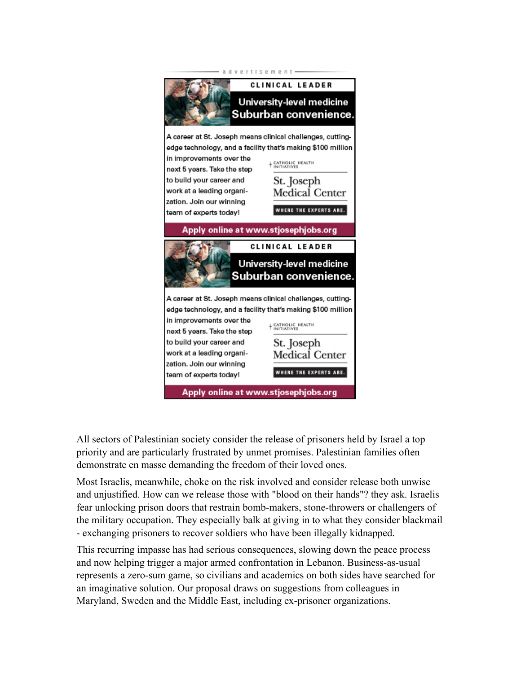

All sectors of Palestinian society consider the release of prisoners held by Israel a top priority and are particularly frustrated by unmet promises. Palestinian families often demonstrate en masse demanding the freedom of their loved ones.

Most Israelis, meanwhile, choke on the risk involved and consider release both unwise and unjustified. How can we release those with "blood on their hands"? they ask. Israelis fear unlocking prison doors that restrain bomb-makers, stone-throwers or challengers of the military occupation. They especially balk at giving in to what they consider blackmail - exchanging prisoners to recover soldiers who have been illegally kidnapped.

This recurring impasse has had serious consequences, slowing down the peace process and now helping trigger a major armed confrontation in Lebanon. Business-as-usual represents a zero-sum game, so civilians and academics on both sides have searched for an imaginative solution. Our proposal draws on suggestions from colleagues in Maryland, Sweden and the Middle East, including ex-prisoner organizations.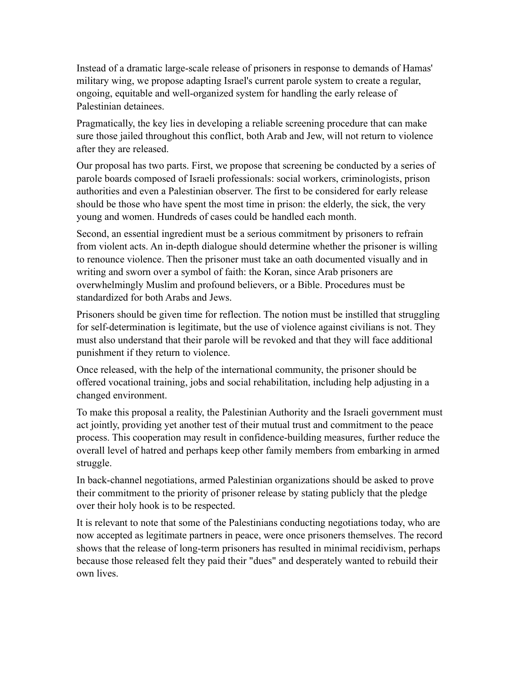Instead of a dramatic large-scale release of prisoners in response to demands of Hamas' military wing, we propose adapting Israel's current parole system to create a regular, ongoing, equitable and well-organized system for handling the early release of Palestinian detainees.

Pragmatically, the key lies in developing a reliable screening procedure that can make sure those jailed throughout this conflict, both Arab and Jew, will not return to violence after they are released.

Our proposal has two parts. First, we propose that screening be conducted by a series of parole boards composed of Israeli professionals: social workers, criminologists, prison authorities and even a Palestinian observer. The first to be considered for early release should be those who have spent the most time in prison: the elderly, the sick, the very young and women. Hundreds of cases could be handled each month.

Second, an essential ingredient must be a serious commitment by prisoners to refrain from violent acts. An in-depth dialogue should determine whether the prisoner is willing to renounce violence. Then the prisoner must take an oath documented visually and in writing and sworn over a symbol of faith: the Koran, since Arab prisoners are overwhelmingly Muslim and profound believers, or a Bible. Procedures must be standardized for both Arabs and Jews.

Prisoners should be given time for reflection. The notion must be instilled that struggling for self-determination is legitimate, but the use of violence against civilians is not. They must also understand that their parole will be revoked and that they will face additional punishment if they return to violence.

Once released, with the help of the international community, the prisoner should be offered vocational training, jobs and social rehabilitation, including help adjusting in a changed environment.

To make this proposal a reality, the Palestinian Authority and the Israeli government must act jointly, providing yet another test of their mutual trust and commitment to the peace process. This cooperation may result in confidence-building measures, further reduce the overall level of hatred and perhaps keep other family members from embarking in armed struggle.

In back-channel negotiations, armed Palestinian organizations should be asked to prove their commitment to the priority of prisoner release by stating publicly that the pledge over their holy hook is to be respected.

It is relevant to note that some of the Palestinians conducting negotiations today, who are now accepted as legitimate partners in peace, were once prisoners themselves. The record shows that the release of long-term prisoners has resulted in minimal recidivism, perhaps because those released felt they paid their "dues" and desperately wanted to rebuild their own lives.